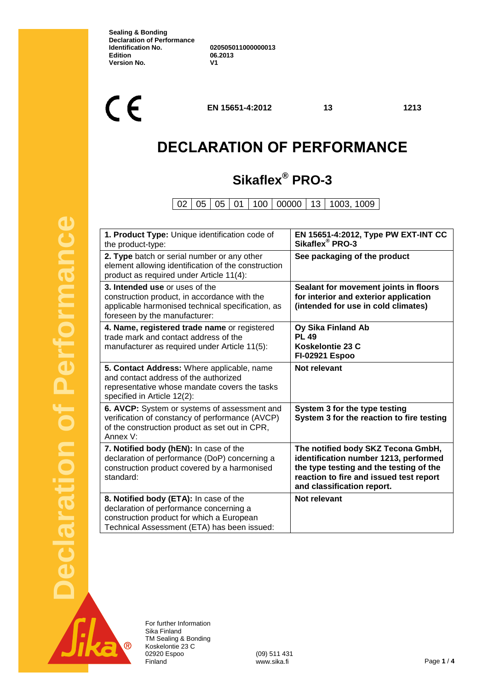**Sealing & Bonding Declaration of Performance Identification No. 020505011000000013 Edition 06.2013 Version No.** 

 $C \in$ 

**EN 15651-4:2012 13 1213**

# **DECLARATION OF PERFORMANCE**

# **Sikaflex® PRO-3**

02 05 05 01 100 00000 13 1003, 1009

| 1. Product Type: Unique identification code of<br>the product-type:                                                                                                           | EN 15651-4:2012, Type PW EXT-INT CC<br>Sikaflex <sup>®</sup> PRO-3                                                                                                                              |
|-------------------------------------------------------------------------------------------------------------------------------------------------------------------------------|-------------------------------------------------------------------------------------------------------------------------------------------------------------------------------------------------|
| 2. Type batch or serial number or any other<br>element allowing identification of the construction<br>product as required under Article 11(4):                                | See packaging of the product                                                                                                                                                                    |
| 3. Intended use or uses of the<br>construction product, in accordance with the<br>applicable harmonised technical specification, as<br>foreseen by the manufacturer:          | Sealant for movement joints in floors<br>for interior and exterior application<br>(intended for use in cold climates)                                                                           |
| 4. Name, registered trade name or registered<br>trade mark and contact address of the<br>manufacturer as required under Article 11(5):                                        | Oy Sika Finland Ab<br><b>PL 49</b><br>Koskelontie 23 C<br><b>FI-02921 Espoo</b>                                                                                                                 |
| 5. Contact Address: Where applicable, name<br>and contact address of the authorized<br>representative whose mandate covers the tasks<br>specified in Article 12(2):           | Not relevant                                                                                                                                                                                    |
| 6. AVCP: System or systems of assessment and<br>verification of constancy of performance (AVCP)<br>of the construction product as set out in CPR,<br>Annex V:                 | System 3 for the type testing<br>System 3 for the reaction to fire testing                                                                                                                      |
| 7. Notified body (hEN): In case of the<br>declaration of performance (DoP) concerning a<br>construction product covered by a harmonised<br>standard:                          | The notified body SKZ Tecona GmbH,<br>identification number 1213, performed<br>the type testing and the testing of the<br>reaction to fire and issued test report<br>and classification report. |
| 8. Notified body (ETA): In case of the<br>declaration of performance concerning a<br>construction product for which a European<br>Technical Assessment (ETA) has been issued: | Not relevant                                                                                                                                                                                    |



Performance

For further Information Sika Finland TM Sealing & Bonding Koskelontie 23 C 02920 Espoo (09) 511 431<br>Finland www.sika.fi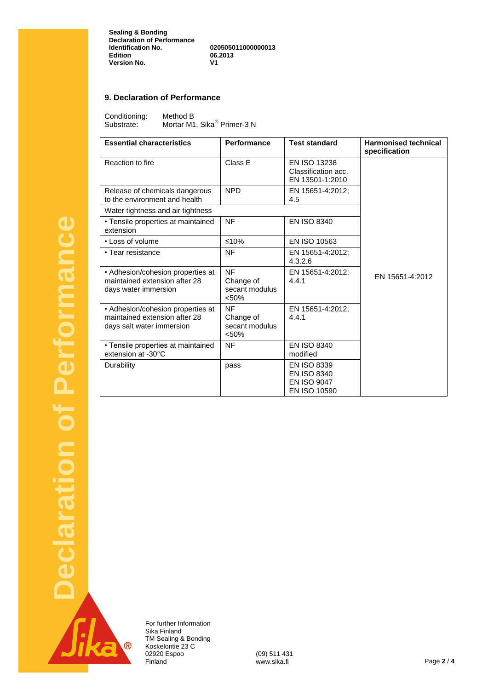**Sealing & Bonding Declaration of Performance Identification No. 020505011000000013 Edition 06.2013 Version No.** 

#### **9. Declaration of Performance**

Conditioning: Method B<br>Substrate: Mortar M1 Substrate: Mortar M1, Sika<sup>®</sup> Primer-3 N

| <b>Essential characteristics</b>                                                                | Performance                                       | <b>Test standard</b>                                                                  | <b>Harmonised technical</b><br>specification |
|-------------------------------------------------------------------------------------------------|---------------------------------------------------|---------------------------------------------------------------------------------------|----------------------------------------------|
| Reaction to fire                                                                                | Class E                                           | EN ISO 13238<br>Classification acc.<br>EN 13501-1:2010                                |                                              |
| Release of chemicals dangerous<br>to the environment and health                                 | <b>NPD</b>                                        | EN 15651-4:2012;<br>4.5                                                               |                                              |
| Water tightness and air tightness                                                               |                                                   |                                                                                       |                                              |
| • Tensile properties at maintained<br>extension                                                 | <b>NF</b>                                         | <b>EN ISO 8340</b>                                                                    |                                              |
| • Loss of volume                                                                                | ≤10%                                              | EN ISO 10563                                                                          |                                              |
| • Tear resistance                                                                               | NF                                                | EN 15651-4:2012;<br>4.3.2.6                                                           |                                              |
| • Adhesion/cohesion properties at<br>maintained extension after 28<br>days water immersion      | <b>NF</b><br>Change of<br>secant modulus<br>< 50% | EN 15651-4:2012;<br>4.4.1                                                             | EN 15651-4:2012                              |
| • Adhesion/cohesion properties at<br>maintained extension after 28<br>days salt water immersion | <b>NF</b><br>Change of<br>secant modulus<br>< 50% | EN 15651-4:2012;<br>4.4.1                                                             |                                              |
| • Tensile properties at maintained<br>extension at -30°C                                        | <b>NF</b>                                         | EN ISO 8340<br>modified                                                               |                                              |
| Durability                                                                                      | pass                                              | <b>EN ISO 8339</b><br><b>EN ISO 8340</b><br><b>EN ISO 9047</b><br><b>EN ISO 10590</b> |                                              |

 $\overline{\mathcal{R}}$ 

For further Information Sika Finland TM Sealing & Bonding Koskelontie 23 C 02920 Espoo (09) 511 431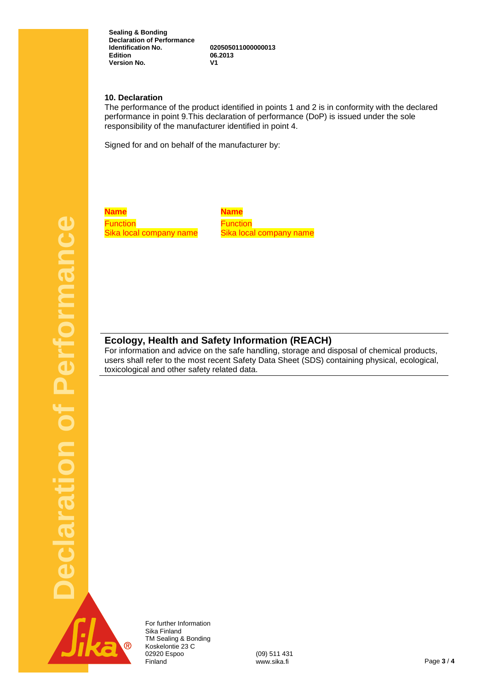**Sealing & Bonding Declaration of Performance Identification No. 020505011000000013 Version No.** 

**Edition 06.2013**

#### **10. Declaration**

The performance of the product identified in points 1 and 2 is in conformity with the declared performance in point 9.This declaration of performance (DoP) is issued under the sole responsibility of the manufacturer identified in point 4.

Signed for and on behalf of the manufacturer by:

**Name Name Function** Sika local company name

**Function** Sika local company name

#### **Ecology, Health and Safety Information (REACH)**

For information and advice on the safe handling, storage and disposal of chemical products, users shall refer to the most recent Safety Data Sheet (SDS) containing physical, ecological, toxicological and other safety related data.



For further Information Sika Finland TM Sealing & Bonding Koskelontie 23 C 02920 Espoo (09) 511 431<br>Finland www.sika.fi Finland www.sika.fi Page **3** / **4**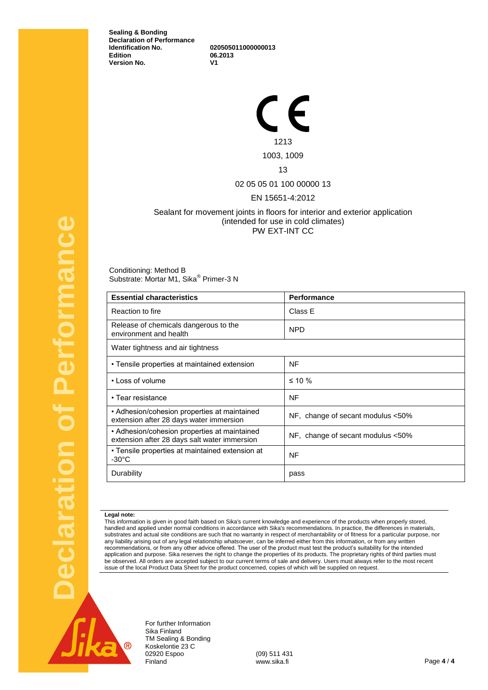**Sealing & Bonding Declaration of Performance Identification No. 020505011000000013 Version No.** 

**Edition 06.2013**

 $\in \epsilon$ 1213 1003, 1009

### 13

02 05 05 01 100 00000 13

#### EN 15651-4:2012

#### Sealant for movement joints in floors for interior and exterior application (intended for use in cold climates) PW EXT-INT CC

Conditioning: Method B Substrate: Mortar M1, Sika<sup>®</sup> Primer-3 N

| <b>Essential characteristics</b>                                                             | <b>Performance</b>                |
|----------------------------------------------------------------------------------------------|-----------------------------------|
| Reaction to fire                                                                             | Class E                           |
| Release of chemicals dangerous to the<br>environment and health                              | <b>NPD</b>                        |
| Water tightness and air tightness                                                            |                                   |
| • Tensile properties at maintained extension                                                 | NF                                |
| • Loss of volume                                                                             | $\leq 10 \%$                      |
| • Tear resistance                                                                            | <b>NF</b>                         |
| • Adhesion/cohesion properties at maintained<br>extension after 28 days water immersion      | NF, change of secant modulus <50% |
| • Adhesion/cohesion properties at maintained<br>extension after 28 days salt water immersion | NF, change of secant modulus <50% |
| • Tensile properties at maintained extension at<br>$-30^{\circ}$ C                           | NF                                |
| Durability                                                                                   | pass                              |

#### **Legal note:**

This information is given in good faith based on Sika's current knowledge and experience of the products when properly stored, handled and applied under normal conditions in accordance with Sika's recommendations. In practice, the differences in materials, substrates and actual site conditions are such that no warranty in respect of merchantability or of fitness for a particular purpose, nor any liability arising out of any legal relationship whatsoever, can be inferred either from this information, or from any written recommendations, or from any other advice offered. The user of the product must test the product's suitability for the intended application and purpose. Sika reserves the right to change the properties of its products. The proprietary rights of third parties must be observed. All orders are accepted subject to our current terms of sale and delivery. Users must always refer to the most recent issue of the local Product Data Sheet for the product concerned, copies of which will be supplied on request.



claration of Performance

For further Information Sika Finland TM Sealing & Bonding Koskelontie 23 C 02920 Espoo (09) 511 431<br>Einland www.sika.fi Finland www.sika.fi Page **4** / **4**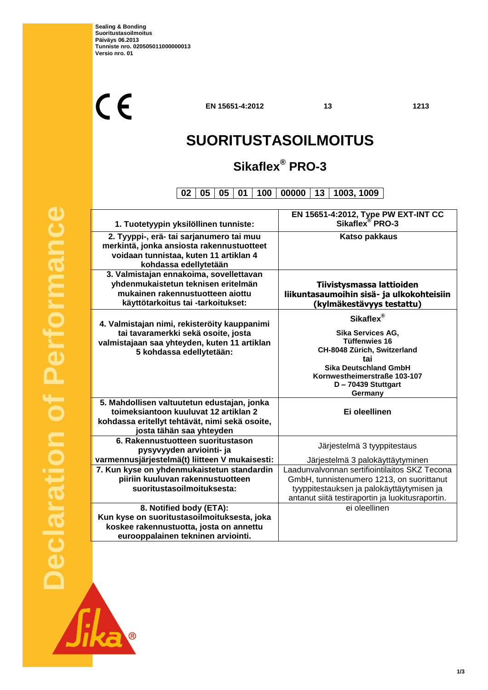$C<sub>f</sub>$ 

**EN 15651-4:2012 13 1213**

 $\overline{\mathbb{L}}$ 

# **SUORITUSTASOILMOITUS**

## **Sikaflex® PRO-3**

**02 05 05 01 100 00000 13 1003, 1009**

|                                                | EN 15651-4:2012, Type PW EXT-INT CC<br>Sikaflex <sup>®</sup> PRO-3 |
|------------------------------------------------|--------------------------------------------------------------------|
| 1. Tuotetyypin yksilöllinen tunniste:          |                                                                    |
| 2. Tyyppi-, erä- tai sarjanumero tai muu       | <b>Katso pakkaus</b>                                               |
| merkintä, jonka ansiosta rakennustuotteet      |                                                                    |
| voidaan tunnistaa, kuten 11 artiklan 4         |                                                                    |
| kohdassa edellytetään                          |                                                                    |
| 3. Valmistajan ennakoima, sovellettavan        |                                                                    |
| yhdenmukaistetun teknisen eritelmän            | Tiivistysmassa lattioiden                                          |
| mukainen rakennustuotteen aiottu               | liikuntasaumoihin sisä- ja ulkokohteisiin                          |
| käyttötarkoitus tai -tarkoitukset:             | (kylmäkestävyys testattu)                                          |
|                                                | Sikaflex <sup>®</sup>                                              |
| 4. Valmistajan nimi, rekisteröity kauppanimi   |                                                                    |
| tai tavaramerkki sekä osoite, josta            | Sika Services AG,<br><b>Tüffenwies 16</b>                          |
| valmistajaan saa yhteyden, kuten 11 artiklan   | CH-8048 Zürich, Switzerland                                        |
| 5 kohdassa edellytetään:                       | tai                                                                |
|                                                | <b>Sika Deutschland GmbH</b>                                       |
|                                                | Kornwestheimerstraße 103-107                                       |
|                                                | D - 70439 Stuttgart                                                |
|                                                | Germany                                                            |
| 5. Mahdollisen valtuutetun edustajan, jonka    |                                                                    |
| toimeksiantoon kuuluvat 12 artiklan 2          | Ei oleellinen                                                      |
| kohdassa eritellyt tehtävät, nimi sekä osoite, |                                                                    |
| josta tähän saa yhteyden                       |                                                                    |
| 6. Rakennustuotteen suoritustason              | Järjestelmä 3 tyyppitestaus                                        |
| pysyvyyden arviointi- ja                       |                                                                    |
| varmennusjärjestelmä(t) liitteen V mukaisesti: | Järjestelmä 3 palokäyttäytyminen                                   |
| 7. Kun kyse on yhdenmukaistetun standardin     | Laadunvalvonnan sertifiointilaitos SKZ Tecona                      |
| piiriin kuuluvan rakennustuotteen              | GmbH, tunnistenumero 1213, on suorittanut                          |
| suoritustasoilmoituksesta:                     | tyyppitestauksen ja palokäyttäytymisen ja                          |
|                                                | antanut siitä testiraportin ja luokitusraportin.                   |
| 8. Notified body (ETA):                        | ei oleellinen                                                      |
| Kun kyse on suoritustasoilmoituksesta, joka    |                                                                    |
| koskee rakennustuotta, josta on annettu        |                                                                    |
| eurooppalainen tekninen arviointi.             |                                                                    |

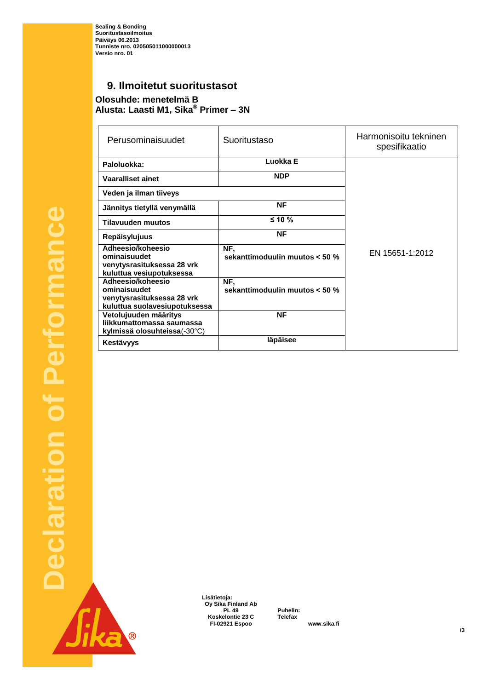**Sealing & Bonding Suoritustasoilmoitus Päiväys 06.2013 Tunniste nro. 020505011000000013 Versio nro. 01**

### **9. Ilmoitetut suoritustasot**

**Olosuhde: menetelmä B Alusta: Laasti M1, Sika® Primer – 3N**

| Perusominaisuudet                                                                                | Suoritustaso                          | Harmonisoitu tekninen<br>spesifikaatio |
|--------------------------------------------------------------------------------------------------|---------------------------------------|----------------------------------------|
| Paloluokka:                                                                                      | Luokka E                              |                                        |
| <b>Vaaralliset ainet</b>                                                                         | <b>NDP</b>                            |                                        |
| Veden ja ilman tiiveys                                                                           |                                       |                                        |
| Jännitys tietyllä venymällä                                                                      | <b>NF</b>                             |                                        |
| <b>Tilavuuden muutos</b>                                                                         | $≤ 10 \%$                             |                                        |
| <b>Repäisylujuus</b>                                                                             | <b>NF</b>                             |                                        |
| Adheesio/koheesio<br>ominaisuudet<br>venytysrasituksessa 28 vrk<br>kuluttua vesiupotuksessa      | NF,<br>sekanttimoduulin muutos < 50 % | EN 15651-1:2012                        |
| Adheesio/koheesio<br>ominaisuudet<br>venytysrasituksessa 28 vrk<br>kuluttua suolavesiupotuksessa | NF.<br>sekanttimoduulin muutos < 50 % |                                        |
| Vetolujuuden määritys<br>liikkumattomassa saumassa<br>kylmissä olosuhteissa(-30°C)               | <b>NF</b>                             |                                        |
| Kestävyys                                                                                        | läpäisee                              |                                        |

Jika B

 **Lisätietoja: Oy Sika Finland Ab Koskelontie 23 C Telefax +358 9 511 43300 FI-02921 Espoo www.sika.fi**

**PL 49 Puhelin: +358 9 544 431**